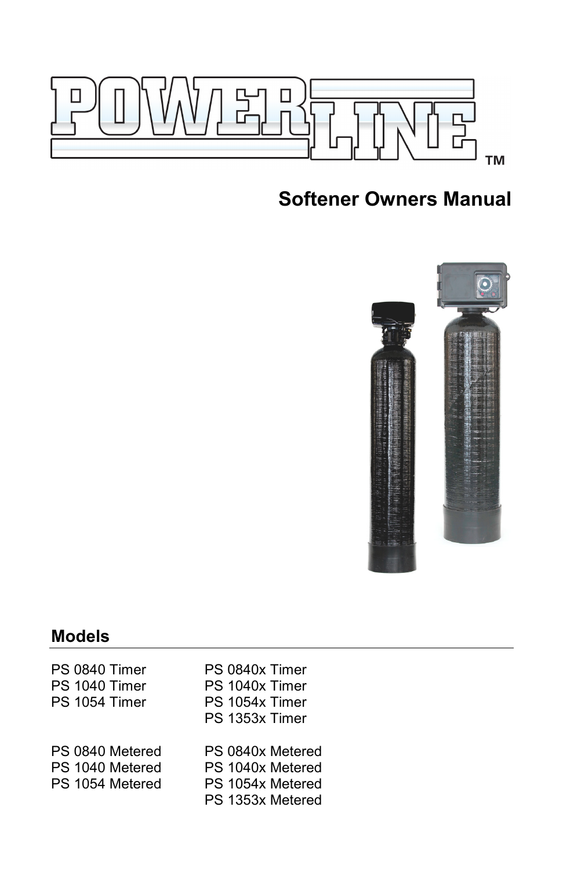

# **Softener Owners Manual**



# **Models**

| PS 0840 Timer<br>PS 1040 Timer<br>PS 1054 Timer       | PS 0840x Timer<br>PS 1040x Timer<br>PS 1054x Timer<br>PS 1353x Timer         |
|-------------------------------------------------------|------------------------------------------------------------------------------|
| PS 0840 Metered<br>PS 1040 Metered<br>PS 1054 Metered | PS 0840x Metered<br>PS 1040x Metered<br>PS 1054x Metered<br>PS 1353x Metered |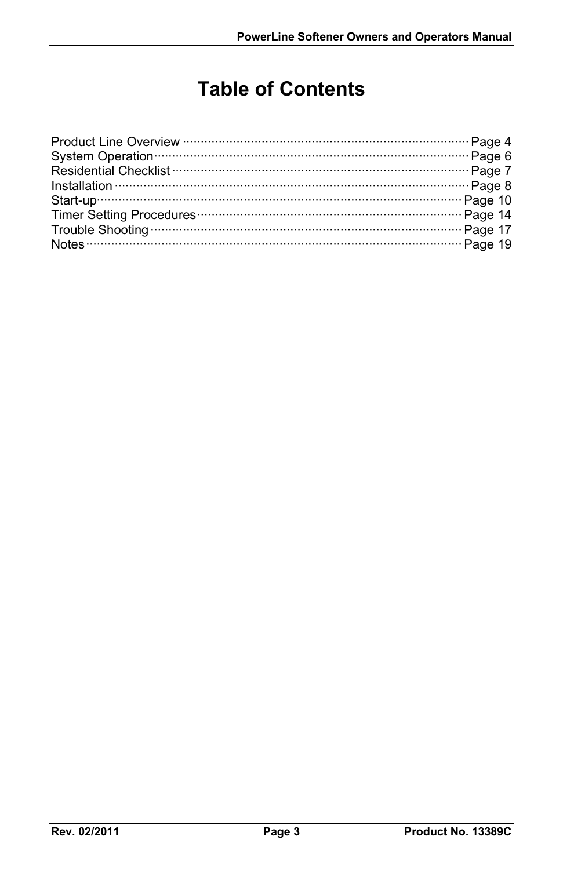# **Table of Contents**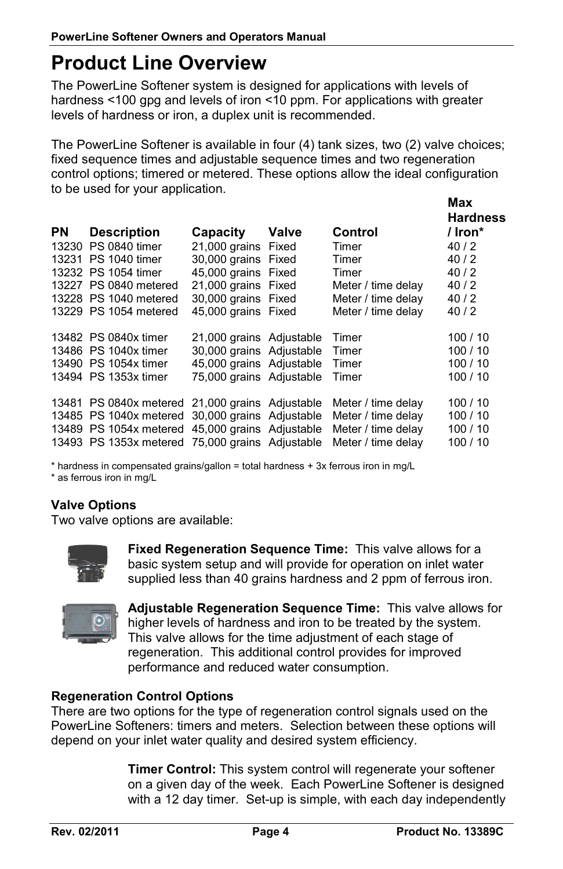### **Product Line Overview**

The PowerLine Softener system is designed for applications with levels of hardness <100 gpg and levels of iron <10 ppm. For applications with greater levels of hardness or iron, a duplex unit is recommended.

The PowerLine Softener is available in four (4) tank sizes, two (2) valve choices; fixed sequence times and adjustable sequence times and two regeneration control options; timered or metered. These options allow the ideal configuration to be used for your application.

| / Iron $*$ |
|------------|
|            |
|            |
|            |
|            |
|            |
|            |
|            |
| 100/10     |
| 100/10     |
| 100/10     |
| 100/10     |
| 100/10     |
| 100/10     |
| 100/10     |
| 100/10     |
|            |

\* hardness in compensated grains/gallon = total hardness + 3x ferrous iron in mg/L

\* as ferrous iron in mg/L

### **Valve Options**

Two valve options are available:



**Fixed Regeneration Sequence Time:** This valve allows for a basic system setup and will provide for operation on inlet water supplied less than 40 grains hardness and 2 ppm of ferrous iron.



**Adjustable Regeneration Sequence Time:** This valve allows for higher levels of hardness and iron to be treated by the system. This valve allows for the time adjustment of each stage of regeneration. This additional control provides for improved performance and reduced water consumption.

#### **Regeneration Control Options**

There are two options for the type of regeneration control signals used on the PowerLine Softeners: timers and meters. Selection between these options will depend on your inlet water quality and desired system efficiency.

> **Timer Control:** This system control will regenerate your softener on a given day of the week. Each PowerLine Softener is designed with a 12 day timer. Set-up is simple, with each day independently

**Max**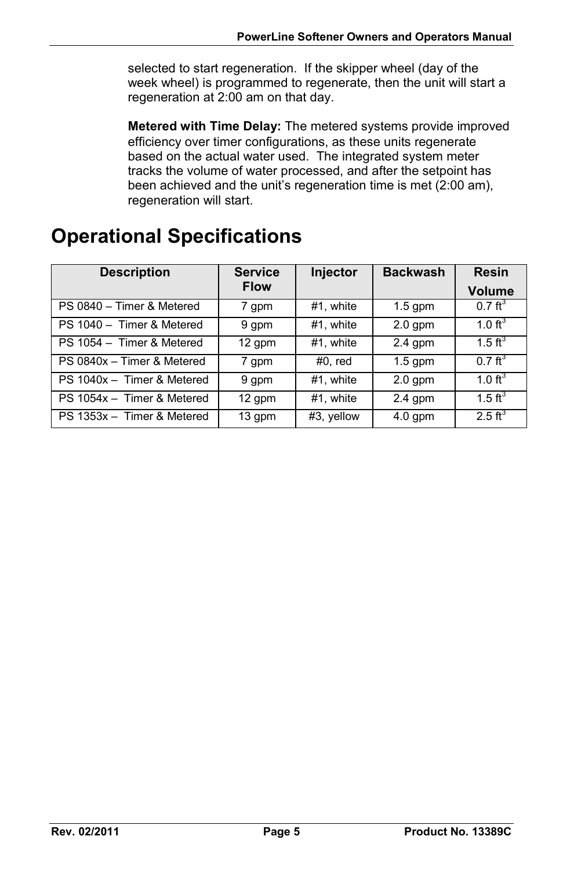selected to start regeneration. If the skipper wheel (day of the week wheel) is programmed to regenerate, then the unit will start a regeneration at 2:00 am on that day.

**Metered with Time Delay:** The metered systems provide improved efficiency over timer configurations, as these units regenerate based on the actual water used. The integrated system meter tracks the volume of water processed, and after the setpoint has been achieved and the unit's regeneration time is met (2:00 am), regeneration will start.

# **Operational Specifications**

| <b>Description</b>         | <b>Service</b> | Injector   | <b>Backwash</b> | <b>Resin</b>        |
|----------------------------|----------------|------------|-----------------|---------------------|
|                            | <b>Flow</b>    |            |                 | Volume              |
| PS 0840 - Timer & Metered  | 7 gpm          | #1, white  | $1.5$ qpm       | $0.7 \text{ ft}^3$  |
| PS 1040 - Timer & Metered  | 9 gpm          | #1, white  | $2.0$ gpm       | $1.0 \text{ ft}^3$  |
| PS 1054 - Timer & Metered  | 12 gpm         | #1, white  | $2.4$ qpm       | 1.5 $\text{ft}^{3}$ |
| PS 0840x - Timer & Metered | 7 gpm          | $#0$ , red | $1.5$ qpm       | $0.7 \text{ ft}^3$  |
| PS 1040x - Timer & Metered | 9 qpm          | #1, white  | $2.0$ gpm       | 1.0 $\text{ft}^3$   |
| PS 1054x - Timer & Metered | 12 gpm         | #1, white  | $2.4$ gpm       | $1.5 \text{ ft}^3$  |
| PS 1353x - Timer & Metered | 13 qpm         | #3, yellow | $4.0$ gpm       | $2.5 \text{ ft}^3$  |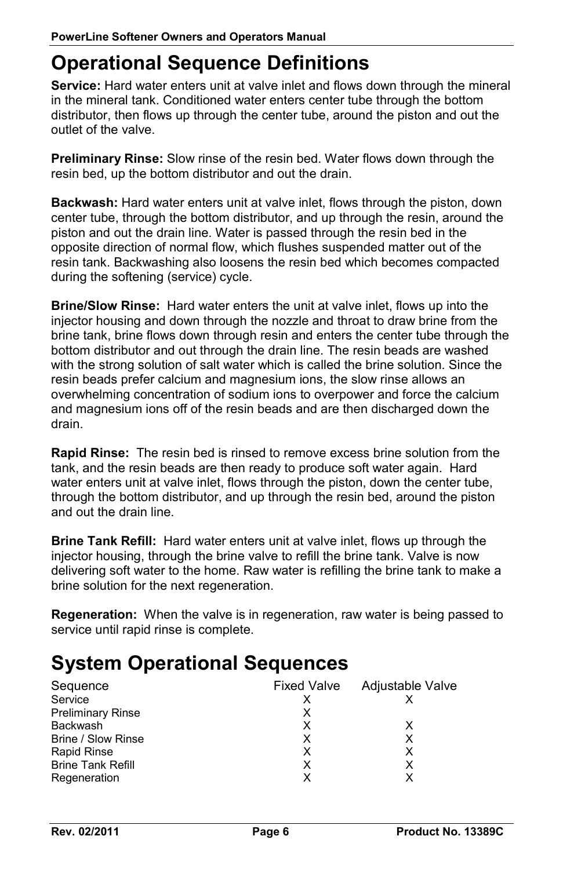## **Operational Sequence Definitions**

**Service:** Hard water enters unit at valve inlet and flows down through the mineral in the mineral tank. Conditioned water enters center tube through the bottom distributor, then flows up through the center tube, around the piston and out the outlet of the valve.

**Preliminary Rinse:** Slow rinse of the resin bed. Water flows down through the resin bed, up the bottom distributor and out the drain.

**Backwash:** Hard water enters unit at valve inlet, flows through the piston, down center tube, through the bottom distributor, and up through the resin, around the piston and out the drain line. Water is passed through the resin bed in the opposite direction of normal flow, which flushes suspended matter out of the resin tank. Backwashing also loosens the resin bed which becomes compacted during the softening (service) cycle.

**Brine/Slow Rinse:** Hard water enters the unit at valve inlet, flows up into the injector housing and down through the nozzle and throat to draw brine from the brine tank, brine flows down through resin and enters the center tube through the bottom distributor and out through the drain line. The resin beads are washed with the strong solution of salt water which is called the brine solution. Since the resin beads prefer calcium and magnesium ions, the slow rinse allows an overwhelming concentration of sodium ions to overpower and force the calcium and magnesium ions off of the resin beads and are then discharged down the drain.

**Rapid Rinse:** The resin bed is rinsed to remove excess brine solution from the tank, and the resin beads are then ready to produce soft water again. Hard water enters unit at valve inlet, flows through the piston, down the center tube, through the bottom distributor, and up through the resin bed, around the piston and out the drain line.

**Brine Tank Refill:** Hard water enters unit at valve inlet, flows up through the injector housing, through the brine valve to refill the brine tank. Valve is now delivering soft water to the home. Raw water is refilling the brine tank to make a brine solution for the next regeneration.

**Regeneration:** When the valve is in regeneration, raw water is being passed to service until rapid rinse is complete.

# **System Operational Sequences**

| Sequence                 | <b>Fixed Valve</b> | Adjustable Valve |
|--------------------------|--------------------|------------------|
| Service                  |                    |                  |
| <b>Preliminary Rinse</b> |                    |                  |
| <b>Backwash</b>          | x                  | X                |
| Brine / Slow Rinse       |                    | х                |
| Rapid Rinse              | x                  | х                |
| <b>Brine Tank Refill</b> | х                  | x                |
| Regeneration             |                    |                  |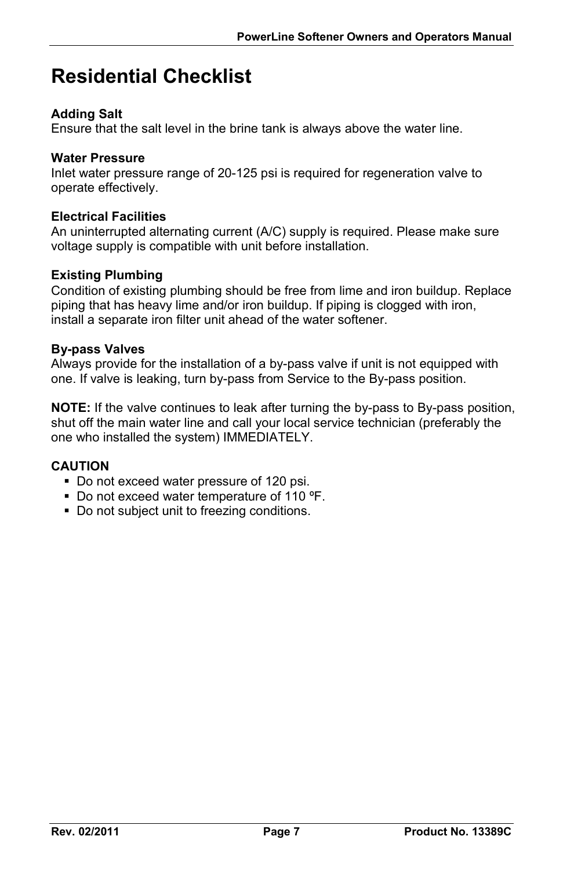# **Residential Checklist**

### **Adding Salt**

Ensure that the salt level in the brine tank is always above the water line.

#### **Water Pressure**

Inlet water pressure range of 20-125 psi is required for regeneration valve to operate effectively.

#### **Electrical Facilities**

An uninterrupted alternating current (A/C) supply is required. Please make sure voltage supply is compatible with unit before installation.

### **Existing Plumbing**

Condition of existing plumbing should be free from lime and iron buildup. Replace piping that has heavy lime and/or iron buildup. If piping is clogged with iron, install a separate iron filter unit ahead of the water softener.

#### **By-pass Valves**

Always provide for the installation of a by-pass valve if unit is not equipped with one. If valve is leaking, turn by-pass from Service to the By-pass position.

**NOTE:** If the valve continues to leak after turning the by-pass to By-pass position, shut off the main water line and call your local service technician (preferably the one who installed the system) IMMEDIATELY.

### **CAUTION**

- Do not exceed water pressure of 120 psi.
- Do not exceed water temperature of 110 °F.
- Do not subject unit to freezing conditions.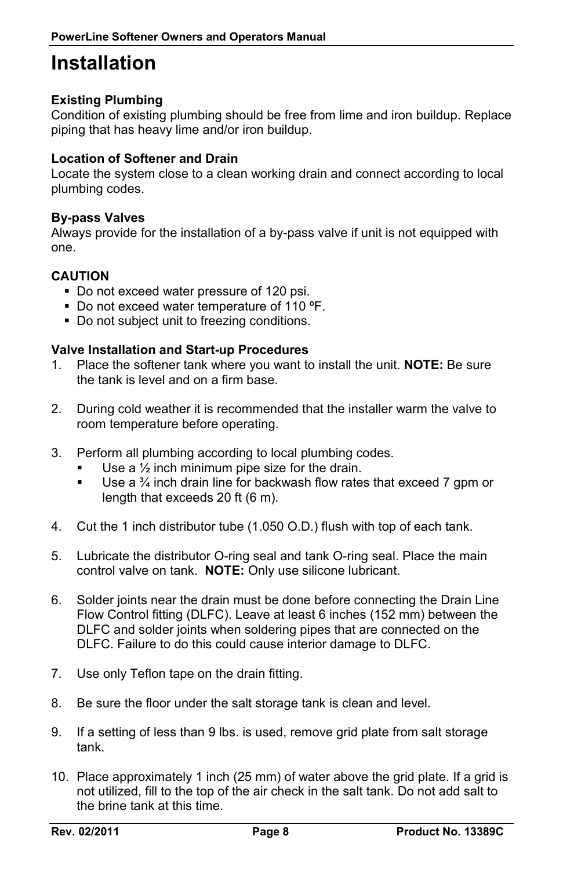### **Installation**

### **Existing Plumbing**

Condition of existing plumbing should be free from lime and iron buildup. Replace piping that has heavy lime and/or iron buildup.

#### **Location of Softener and Drain**

Locate the system close to a clean working drain and connect according to local plumbing codes.

#### **By-pass Valves**

Always provide for the installation of a by-pass valve if unit is not equipped with one.

#### **CAUTION**

- Do not exceed water pressure of 120 psi.
- Do not exceed water temperature of 110 °F.
- Do not subject unit to freezing conditions.

#### **Valve Installation and Start-up Procedures**

- 1. Place the softener tank where you want to install the unit. **NOTE:** Be sure the tank is level and on a firm base.
- 2. During cold weather it is recommended that the installer warm the valve to room temperature before operating.
- 3. Perform all plumbing according to local plumbing codes.
	- Use a ½ inch minimum pipe size for the drain.
	- Use a  $\frac{3}{4}$  inch drain line for backwash flow rates that exceed 7 gpm or length that exceeds 20 ft (6 m).
- 4. Cut the 1 inch distributor tube (1.050 O.D.) flush with top of each tank.
- 5. Lubricate the distributor O-ring seal and tank O-ring seal. Place the main control valve on tank. **NOTE:** Only use silicone lubricant.
- 6. Solder joints near the drain must be done before connecting the Drain Line Flow Control fitting (DLFC). Leave at least 6 inches (152 mm) between the DLFC and solder joints when soldering pipes that are connected on the DLFC. Failure to do this could cause interior damage to DLFC.
- 7. Use only Teflon tape on the drain fitting.
- 8. Be sure the floor under the salt storage tank is clean and level.
- 9. If a setting of less than 9 lbs. is used, remove grid plate from salt storage tank.
- 10. Place approximately 1 inch (25 mm) of water above the grid plate. If a grid is not utilized, fill to the top of the air check in the salt tank. Do not add salt to the brine tank at this time.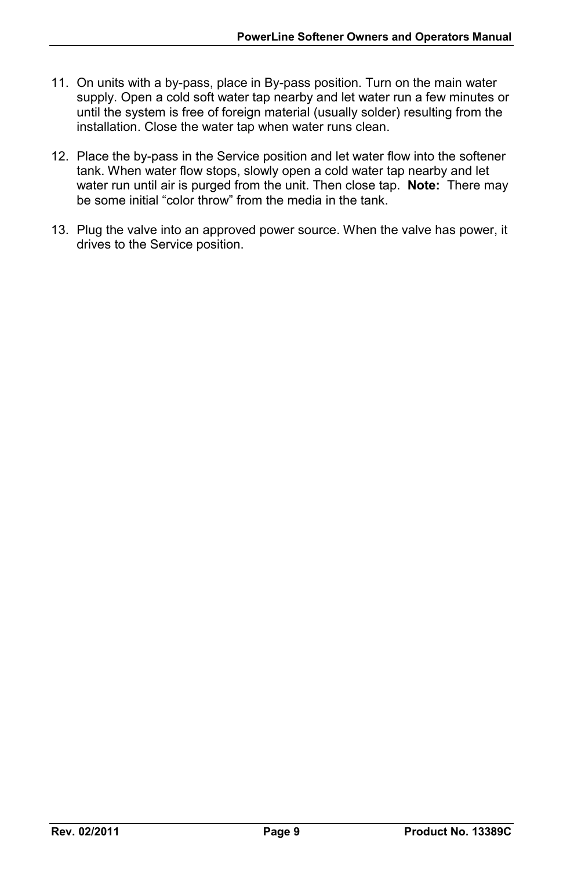- 11. On units with a by-pass, place in By-pass position. Turn on the main water supply. Open a cold soft water tap nearby and let water run a few minutes or until the system is free of foreign material (usually solder) resulting from the installation. Close the water tap when water runs clean.
- 12. Place the by-pass in the Service position and let water flow into the softener tank. When water flow stops, slowly open a cold water tap nearby and let water run until air is purged from the unit. Then close tap. **Note:** There may be some initial "color throw" from the media in the tank.
- 13. Plug the valve into an approved power source. When the valve has power, it drives to the Service position.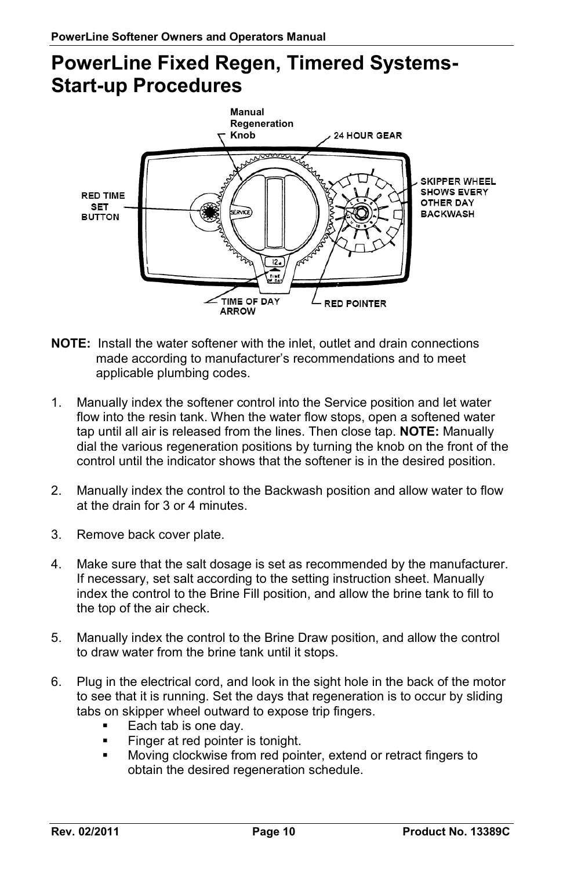## **PowerLine Fixed Regen, Timered Systems-Start-up Procedures**



- **NOTE:** Install the water softener with the inlet, outlet and drain connections made according to manufacturer's recommendations and to meet applicable plumbing codes.
- 1. Manually index the softener control into the Service position and let water flow into the resin tank. When the water flow stops, open a softened water tap until all air is released from the lines. Then close tap. **NOTE:** Manually dial the various regeneration positions by turning the knob on the front of the control until the indicator shows that the softener is in the desired position.
- 2. Manually index the control to the Backwash position and allow water to flow at the drain for 3 or 4 minutes.
- 3. Remove back cover plate.
- 4. Make sure that the salt dosage is set as recommended by the manufacturer. If necessary, set salt according to the setting instruction sheet. Manually index the control to the Brine Fill position, and allow the brine tank to fill to the top of the air check.
- 5. Manually index the control to the Brine Draw position, and allow the control to draw water from the brine tank until it stops.
- 6. Plug in the electrical cord, and look in the sight hole in the back of the motor to see that it is running. Set the days that regeneration is to occur by sliding tabs on skipper wheel outward to expose trip fingers.
	- Each tab is one day.
	- Finger at red pointer is tonight.
	- Moving clockwise from red pointer, extend or retract fingers to obtain the desired regeneration schedule.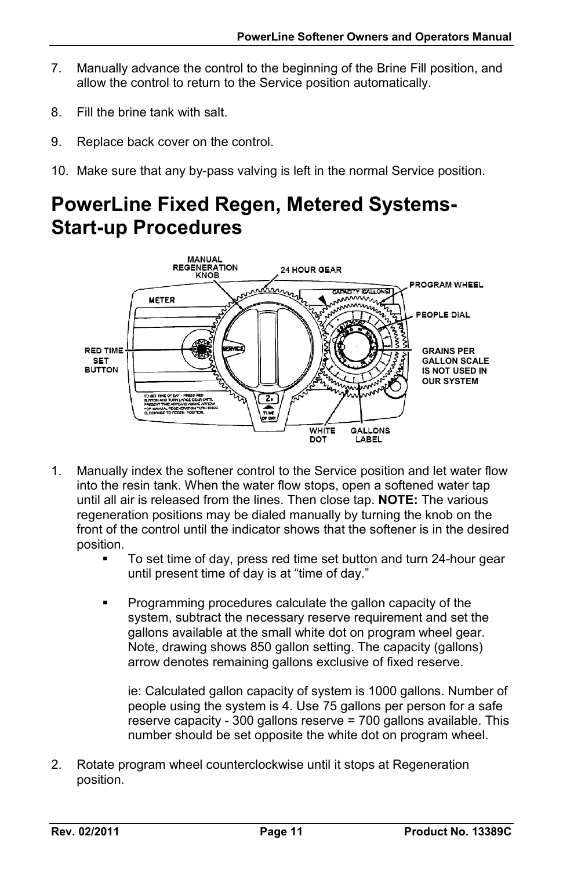- 7. Manually advance the control to the beginning of the Brine Fill position, and allow the control to return to the Service position automatically.
- 8. Fill the brine tank with salt.
- 9. Replace back cover on the control.
- 10. Make sure that any by-pass valving is left in the normal Service position.

# **PowerLine Fixed Regen, Metered Systems-Start-up Procedures**



- 1. Manually index the softener control to the Service position and let water flow into the resin tank. When the water flow stops, open a softened water tap until all air is released from the lines. Then close tap. **NOTE:** The various regeneration positions may be dialed manually by turning the knob on the front of the control until the indicator shows that the softener is in the desired position.
	- To set time of day, press red time set button and turn 24-hour gear until present time of day is at "time of day."
	- Programming procedures calculate the gallon capacity of the system, subtract the necessary reserve requirement and set the gallons available at the small white dot on program wheel gear. Note, drawing shows 850 gallon setting. The capacity (gallons) arrow denotes remaining gallons exclusive of fixed reserve.

ie: Calculated gallon capacity of system is 1000 gallons. Number of people using the system is 4. Use 75 gallons per person for a safe reserve capacity - 300 gallons reserve = 700 gallons available. This number should be set opposite the white dot on program wheel.

2. Rotate program wheel counterclockwise until it stops at Regeneration position.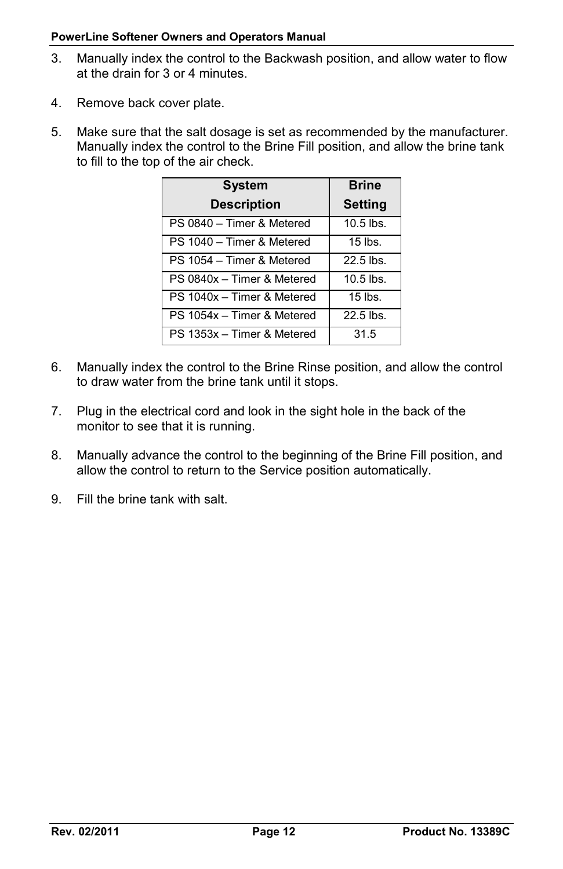#### **PowerLine Softener Owners and Operators Manual**

- 3. Manually index the control to the Backwash position, and allow water to flow at the drain for 3 or 4 minutes.
- 4. Remove back cover plate.
- 5. Make sure that the salt dosage is set as recommended by the manufacturer. Manually index the control to the Brine Fill position, and allow the brine tank to fill to the top of the air check.

| <b>System</b>              | <b>Brine</b>   |
|----------------------------|----------------|
| <b>Description</b>         | <b>Setting</b> |
| PS 0840 - Timer & Metered  | $10.5$ lbs.    |
| PS 1040 - Timer & Metered  | $15$ lbs.      |
| PS 1054 - Timer & Metered  | 22.5 lbs.      |
| PS 0840x - Timer & Metered | $10.5$ lbs.    |
| PS 1040x - Timer & Metered | $15$ lbs.      |
| PS 1054x - Timer & Metered | $22.5$ lbs.    |
| PS 1353x - Timer & Metered | 31.5           |

- 6. Manually index the control to the Brine Rinse position, and allow the control to draw water from the brine tank until it stops.
- 7. Plug in the electrical cord and look in the sight hole in the back of the monitor to see that it is running.
- 8. Manually advance the control to the beginning of the Brine Fill position, and allow the control to return to the Service position automatically.
- 9. Fill the brine tank with salt.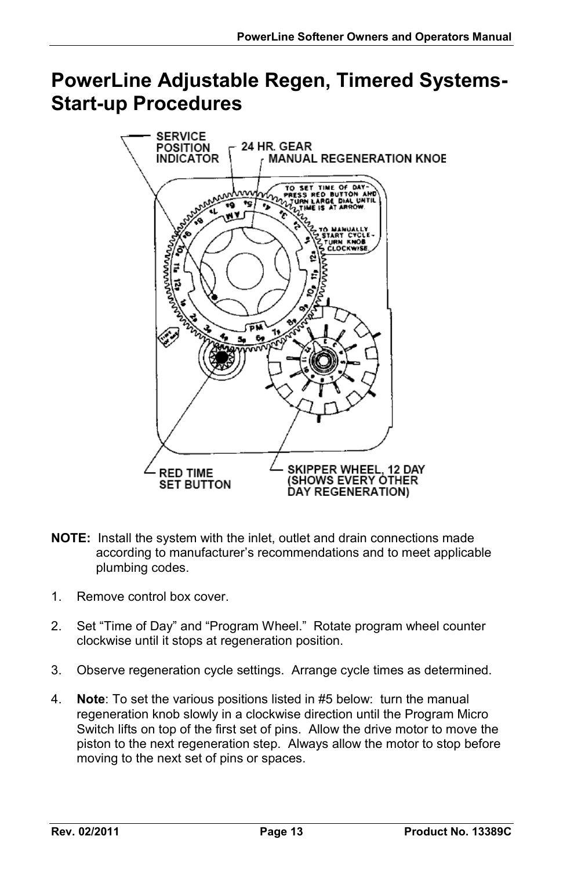## **PowerLine Adjustable Regen, Timered Systems-Start-up Procedures**



- **NOTE:** Install the system with the inlet, outlet and drain connections made according to manufacturer's recommendations and to meet applicable plumbing codes.
- 1. Remove control box cover.
- 2. Set "Time of Day" and "Program Wheel." Rotate program wheel counter clockwise until it stops at regeneration position.
- 3. Observe regeneration cycle settings. Arrange cycle times as determined.
- 4. **Note**: To set the various positions listed in #5 below: turn the manual regeneration knob slowly in a clockwise direction until the Program Micro Switch lifts on top of the first set of pins. Allow the drive motor to move the piston to the next regeneration step. Always allow the motor to stop before moving to the next set of pins or spaces.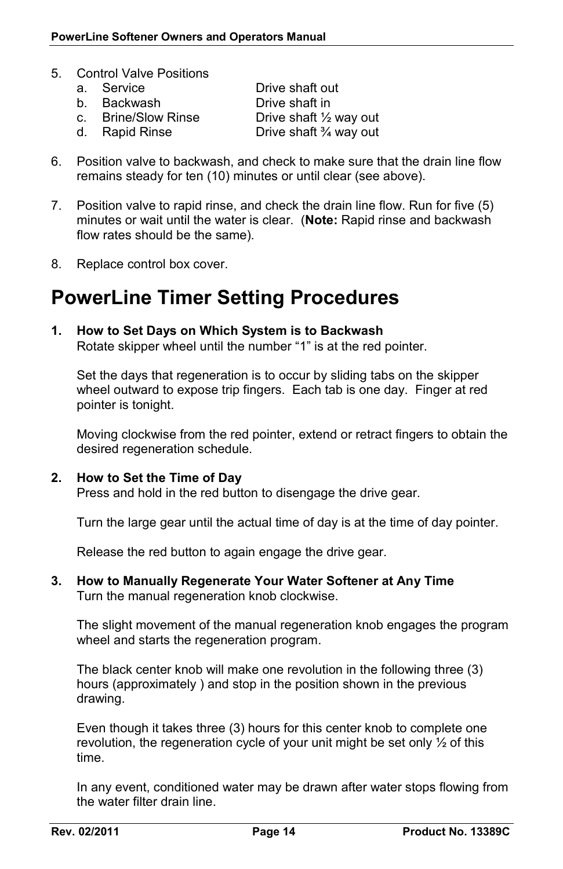- 5. Control Valve Positions
	- a. Service Drive shaft out
	-
	-

b. Backwash **Drive shaft in**<br>c. Brine/Slow Rinse **Drive shaft**  $\frac{1}{2}$ c. Brine/Slow Rinse Drive shaft  $\frac{1}{2}$  way out d. Rapid Rinse Drive shaft  $\frac{3}{4}$  way out Drive shaft  $\frac{3}{4}$  way out

- 6. Position valve to backwash, and check to make sure that the drain line flow remains steady for ten (10) minutes or until clear (see above).
- 7. Position valve to rapid rinse, and check the drain line flow. Run for five (5) minutes or wait until the water is clear. (**Note:** Rapid rinse and backwash flow rates should be the same).
- 8. Replace control box cover.

### **PowerLine Timer Setting Procedures**

#### **1. How to Set Days on Which System is to Backwash**

Rotate skipper wheel until the number "1" is at the red pointer.

Set the days that regeneration is to occur by sliding tabs on the skipper wheel outward to expose trip fingers. Each tab is one day. Finger at red pointer is tonight.

Moving clockwise from the red pointer, extend or retract fingers to obtain the desired regeneration schedule.

#### **2. How to Set the Time of Day**

Press and hold in the red button to disengage the drive gear.

Turn the large gear until the actual time of day is at the time of day pointer.

Release the red button to again engage the drive gear.

**3. How to Manually Regenerate Your Water Softener at Any Time** Turn the manual regeneration knob clockwise.

The slight movement of the manual regeneration knob engages the program wheel and starts the regeneration program.

The black center knob will make one revolution in the following three (3) hours (approximately ) and stop in the position shown in the previous drawing.

Even though it takes three (3) hours for this center knob to complete one revolution, the regeneration cycle of your unit might be set only ½ of this time.

In any event, conditioned water may be drawn after water stops flowing from the water filter drain line.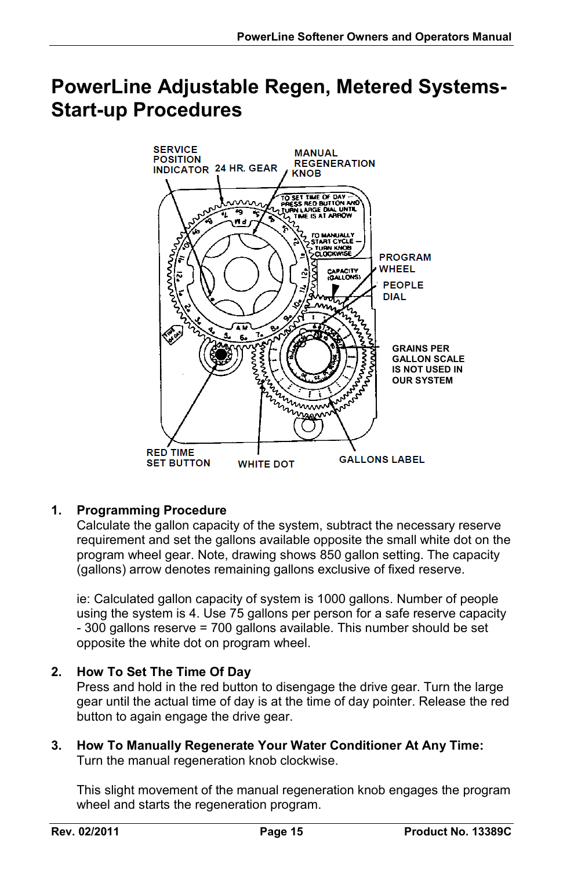### **PowerLine Adjustable Regen, Metered Systems-Start-up Procedures**



### **1. Programming Procedure**

Calculate the gallon capacity of the system, subtract the necessary reserve requirement and set the gallons available opposite the small white dot on the program wheel gear. Note, drawing shows 850 gallon setting. The capacity (gallons) arrow denotes remaining gallons exclusive of fixed reserve.

ie: Calculated gallon capacity of system is 1000 gallons. Number of people using the system is 4. Use 75 gallons per person for a safe reserve capacity - 300 gallons reserve = 700 gallons available. This number should be set opposite the white dot on program wheel.

### **2. How To Set The Time Of Day**

Press and hold in the red button to disengage the drive gear. Turn the large gear until the actual time of day is at the time of day pointer. Release the red button to again engage the drive gear.

**3. How To Manually Regenerate Your Water Conditioner At Any Time:** Turn the manual regeneration knob clockwise.

This slight movement of the manual regeneration knob engages the program wheel and starts the regeneration program.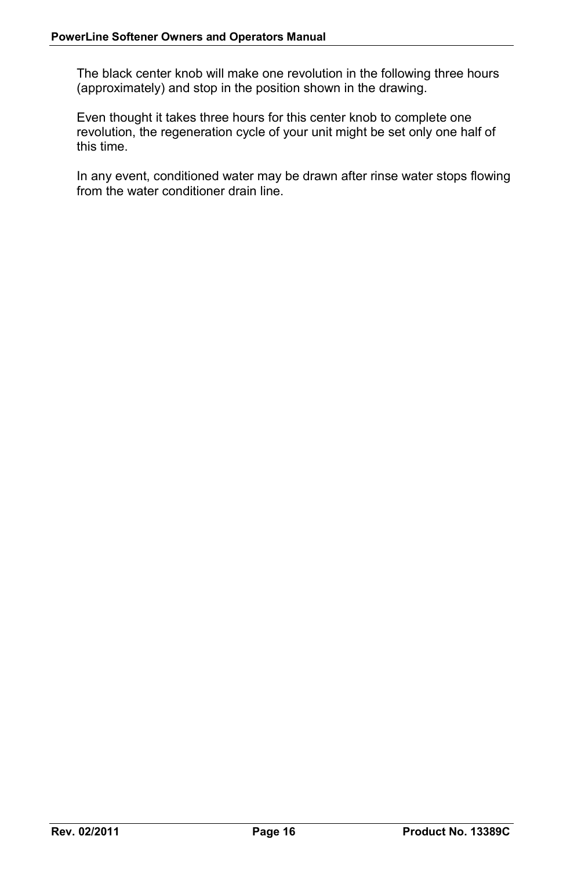The black center knob will make one revolution in the following three hours (approximately) and stop in the position shown in the drawing.

Even thought it takes three hours for this center knob to complete one revolution, the regeneration cycle of your unit might be set only one half of this time.

In any event, conditioned water may be drawn after rinse water stops flowing from the water conditioner drain line.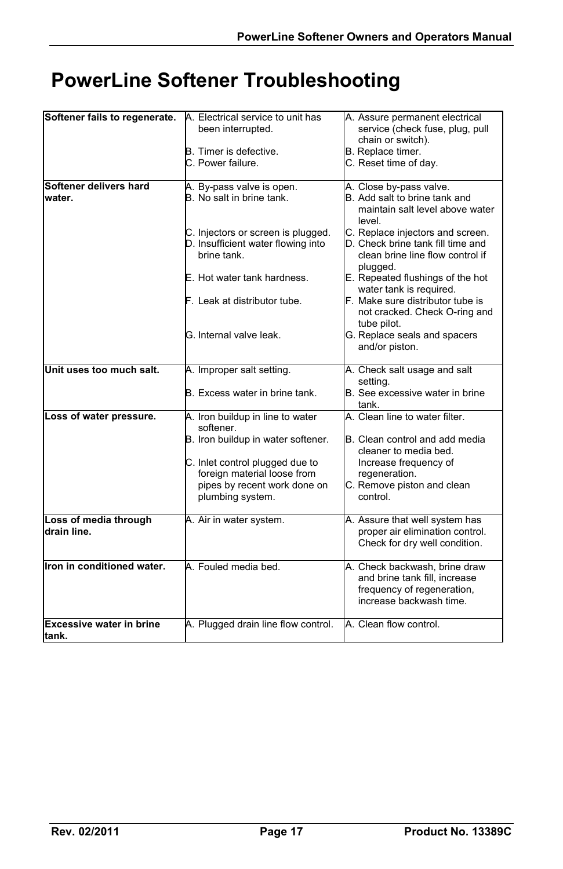# **PowerLine Softener Troubleshooting**

| Softener fails to regenerate.            | A. Electrical service to unit has<br>been interrupted.                                  | A. Assure permanent electrical<br>service (check fuse, plug, pull                                                       |
|------------------------------------------|-----------------------------------------------------------------------------------------|-------------------------------------------------------------------------------------------------------------------------|
|                                          | <b>B.</b> Timer is defective.                                                           | chain or switch).<br>B. Replace timer.                                                                                  |
|                                          | C. Power failure.                                                                       | C. Reset time of day.                                                                                                   |
| Softener delivers hard                   |                                                                                         |                                                                                                                         |
| water.                                   | A. By-pass valve is open.<br>B. No salt in brine tank.                                  | A. Close by-pass valve.<br>B. Add salt to brine tank and<br>maintain salt level above water<br>level.                   |
|                                          | C. Injectors or screen is plugged.<br>D. Insufficient water flowing into<br>brine tank. | C. Replace injectors and screen.<br>D. Check brine tank fill time and<br>clean brine line flow control if<br>plugged.   |
|                                          | E. Hot water tank hardness.                                                             | E. Repeated flushings of the hot<br>water tank is required.                                                             |
|                                          | F. Leak at distributor tube.                                                            | F. Make sure distributor tube is<br>not cracked. Check O-ring and<br>tube pilot.                                        |
|                                          | G. Internal valve leak.                                                                 | G. Replace seals and spacers<br>and/or piston.                                                                          |
| Unit uses too much salt.                 | A. Improper salt setting.                                                               | A. Check salt usage and salt<br>setting.                                                                                |
|                                          | B. Excess water in brine tank.                                                          | B. See excessive water in brine<br>tank.                                                                                |
| Loss of water pressure.                  | A. Iron buildup in line to water<br>softener.                                           | A. Clean line to water filter.                                                                                          |
|                                          | B. Iron buildup in water softener.                                                      | B. Clean control and add media<br>cleaner to media bed.                                                                 |
|                                          | C. Inlet control plugged due to<br>foreign material loose from                          | Increase frequency of<br>regeneration.                                                                                  |
|                                          | pipes by recent work done on<br>plumbing system.                                        | C. Remove piston and clean<br>control.                                                                                  |
| Loss of media through<br>drain line.     | A. Air in water system.                                                                 | A. Assure that well system has<br>proper air elimination control.<br>Check for dry well condition.                      |
| Iron in conditioned water.               | A. Fouled media bed.                                                                    | A. Check backwash, brine draw<br>and brine tank fill, increase<br>frequency of regeneration,<br>increase backwash time. |
| <b>Excessive water in brine</b><br>tank. | A. Plugged drain line flow control.                                                     | A. Clean flow control.                                                                                                  |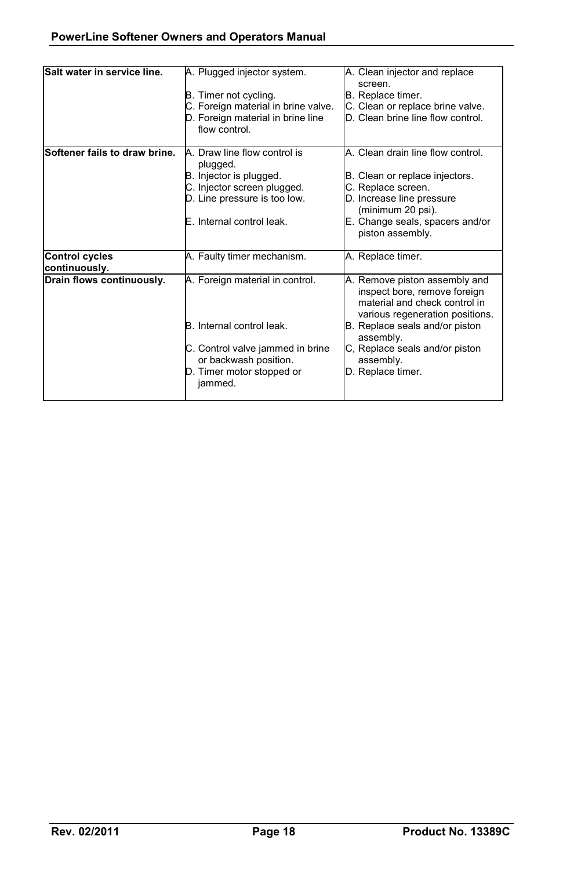| Salt water in service line.            | A. Plugged injector system.<br>B. Timer not cycling.<br>C. Foreign material in brine valve.<br>D. Foreign material in brine line<br>flow control.                 | A. Clean injector and replace<br>screen.<br>B. Replace timer.<br>C. Clean or replace brine valve.<br>D. Clean brine line flow control.                                                                                                               |
|----------------------------------------|-------------------------------------------------------------------------------------------------------------------------------------------------------------------|------------------------------------------------------------------------------------------------------------------------------------------------------------------------------------------------------------------------------------------------------|
| Softener fails to draw brine.          | A. Draw line flow control is<br>plugged.<br>B. Injector is plugged.<br>C. Injector screen plugged.<br>D. Line pressure is too low.<br>E. Internal control leak.   | A. Clean drain line flow control.<br>B. Clean or replace injectors.<br>C. Replace screen.<br>D. Increase line pressure<br>(minimum 20 psi).<br>E. Change seals, spacers and/or<br>piston assembly.                                                   |
| <b>Control cycles</b><br>continuously. | A. Faulty timer mechanism.                                                                                                                                        | A. Replace timer.                                                                                                                                                                                                                                    |
| Drain flows continuously.              | A. Foreign material in control.<br>B. Internal control leak.<br>C. Control valve jammed in brine<br>or backwash position.<br>D. Timer motor stopped or<br>jammed. | A. Remove piston assembly and<br>inspect bore, remove foreign<br>material and check control in<br>various regeneration positions.<br>B. Replace seals and/or piston<br>assembly.<br>C, Replace seals and/or piston<br>assembly.<br>D. Replace timer. |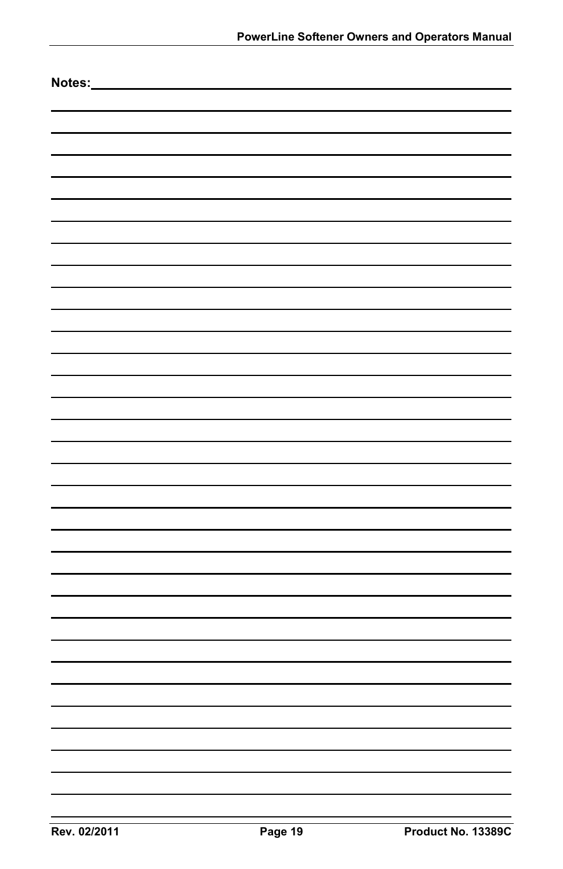| Notes: |  |
|--------|--|
|        |  |
|        |  |
|        |  |
|        |  |
|        |  |
|        |  |
|        |  |
|        |  |
|        |  |
|        |  |
|        |  |
|        |  |
|        |  |
|        |  |
|        |  |
|        |  |
|        |  |
|        |  |
|        |  |
|        |  |
|        |  |
|        |  |
|        |  |
|        |  |
|        |  |
|        |  |
|        |  |
|        |  |
|        |  |